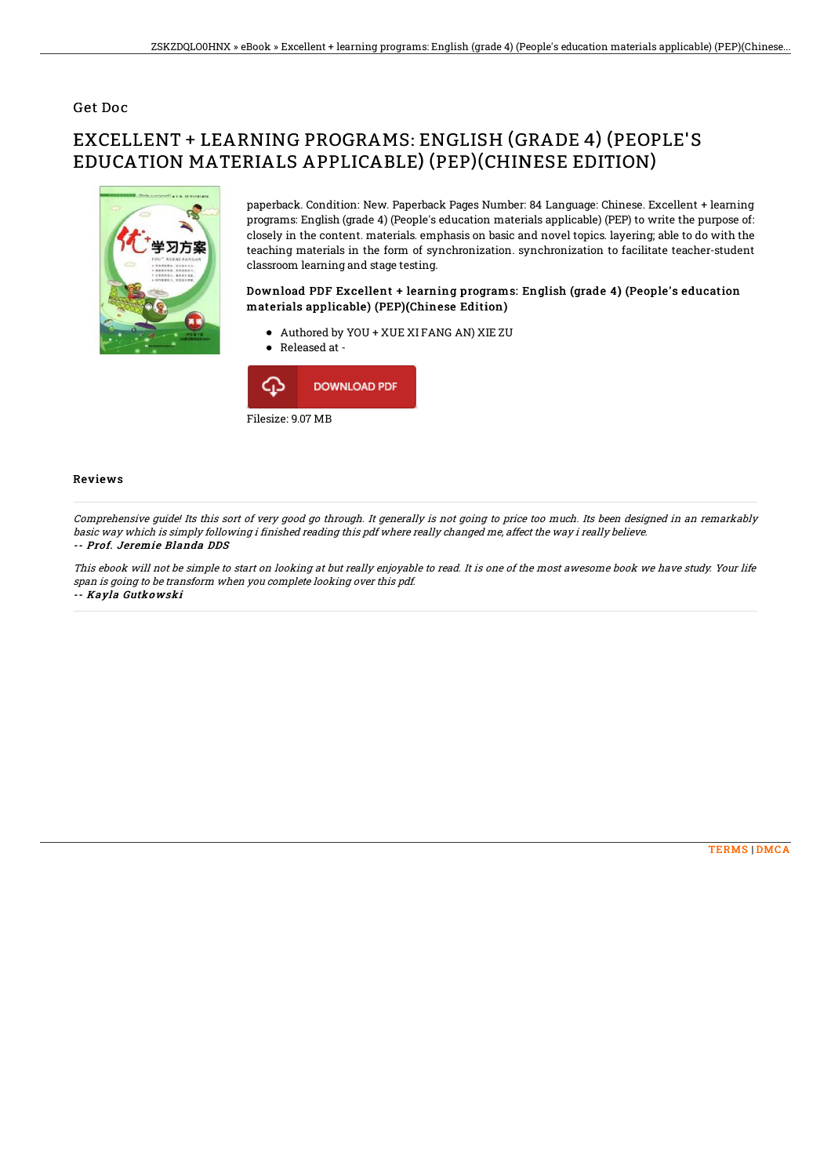## Get Doc

# EXCELLENT + LEARNING PROGRAMS: ENGLISH (GRADE 4) (PEOPLE'S EDUCATION MATERIALS APPLICABLE) (PEP)(CHINESE EDITION)



paperback. Condition: New. Paperback Pages Number: 84 Language: Chinese. Excellent + learning programs: English (grade 4) (People's education materials applicable) (PEP) to write the purpose of: closely in the content. materials. emphasis on basic and novel topics. layering; able to do with the teaching materials in the form of synchronization. synchronization to facilitate teacher-student classroom learning and stage testing.

## Download PDF Excellent + learning programs: English (grade 4) (People's education materials applicable) (PEP)(Chinese Edition)

- Authored by YOU + XUE XI FANG AN) XIE ZU
- Released at -



#### Reviews

Comprehensive guide! Its this sort of very good go through. It generally is not going to price too much. Its been designed in an remarkably basic way which is simply following i finished reading this pdf where really changed me, affect the way i really believe.

#### -- Prof. Jeremie Blanda DDS

This ebook will not be simple to start on looking at but really enjoyable to read. It is one of the most awesome book we have study. Your life span is going to be transform when you complete looking over this pdf. -- Kayla Gutkowski